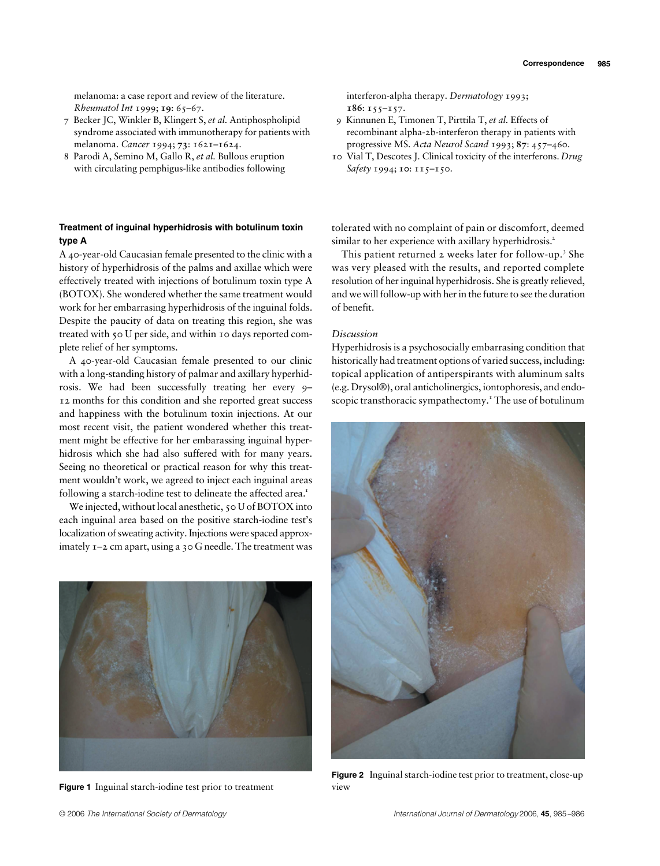melanoma: a case report and review of the literature. *Rheumatol Int* 1999; **19**: 65–67.

- 7 Becker JC, Winkler B, Klingert S, *et al.* Antiphospholipid syndrome associated with immunotherapy for patients with melanoma. *Cancer* 1994; **73**: 1621–1624.
- 8 Parodi A, Semino M, Gallo R, *et al.* Bullous eruption with circulating pemphigus-like antibodies following

## **type A**

A 40-year-old Caucasian female presented to the clinic with a history of hyperhidrosis of the palms and axillae which were effectively treated with injections of botulinum toxin type A (BOTOX). She wondered whether the same treatment would work for her embarrasing hyperhidrosis of the inguinal folds. Despite the paucity of data on treating this region, she was treated with 50 U per side, and within 10 days reported complete relief of her symptoms.

A 40-year-old Caucasian female presented to our clinic with a long-standing history of palmar and axillary hyperhidrosis. We had been successfully treating her every 9– 12 months for this condition and she reported great success and happiness with the botulinum toxin injections. At our most recent visit, the patient wondered whether this treatment might be effective for her embarassing inguinal hyperhidrosis which she had also suffered with for many years. Seeing no theoretical or practical reason for why this treatment wouldn't work, we agreed to inject each inguinal areas following a starch-iodine test to delineate the affected area.<sup>1</sup>

We injected, without local anesthetic, 50 U of BOTOX into each inguinal area based on the positive starch-iodine test's localization of sweating activity. Injections were spaced approximately 1–2 cm apart, using a 30 G needle. The treatment was



**Figure 1** Inguinal starch-iodine test prior to treatment

interferon-alpha therapy. *Dermatology* 1993; **186**: 155–157.

- 9 Kinnunen E, Timonen T, Pirttila T, *et al.* Effects of recombinant alpha-2b-interferon therapy in patients with progressive MS. *Acta Neurol Scand* 1993; **87**: 457–460.
- 10 Vial T, Descotes J. Clinical toxicity of the interferons. *Drug Safety* 1994; **10**: 115–150.

tolerated with no complaint of pain or discomfort, deemed similar to her experience with axillary hyperhidrosis.<sup>2</sup>

This patient returned 2 weeks later for follow-up.<sup>3</sup> She was very pleased with the results, and reported complete resolution of her inguinal hyperhidrosis. She is greatly relieved, and we will follow-up with her in the future to see the duration of benefit.

## *Discussion*

Hyperhidrosis is a psychosocially embarrasing condition that historically had treatment options of varied success, including: topical application of antiperspirants with aluminum salts (e.g. Drysol®), oral anticholinergics, iontophoresis, and endoscopic transthoracic sympathectomy.<sup>1</sup> The use of botulinum



**Figure 2** Inguinal starch-iodine test prior to treatment, close-up view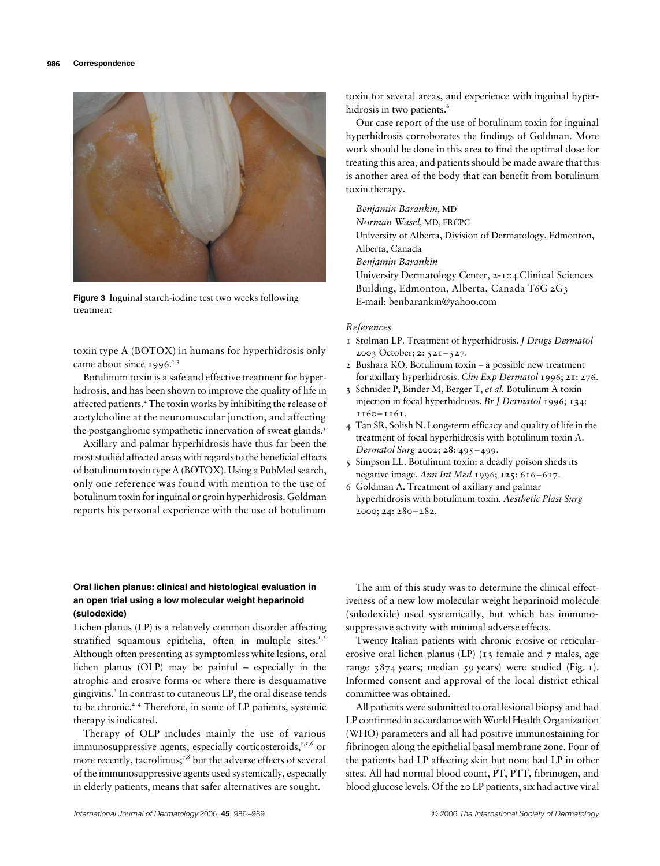

**Figure 3** Inguinal starch-iodine test two weeks following treatment

toxin type A (BOTOX) in humans for hyperhidrosis only came about since  $1996.<sup>2,3</sup>$ 

Botulinum toxin is a safe and effective treatment for hyperhidrosis, and has been shown to improve the quality of life in affected patients.<sup>4</sup> The toxin works by inhibiting the release of acetylcholine at the neuromuscular junction, and affecting the postganglionic sympathetic innervation of sweat glands.<sup>5</sup>

Axillary and palmar hyperhidrosis have thus far been the most studied affected areas with regards to the beneficial effects of botulinum toxin type A (BOTOX). Using a PubMed search, only one reference was found with mention to the use of botulinum toxin for inguinal or groin hyperhidrosis. Goldman reports his personal experience with the use of botulinum

toxin for several areas, and experience with inguinal hyperhidrosis in two patients.<sup>6</sup>

Our case report of the use of botulinum toxin for inguinal hyperhidrosis corroborates the findings of Goldman. More work should be done in this area to find the optimal dose for treating this area, and patients should be made aware that this is another area of the body that can benefit from botulinum toxin therapy.

*Benjamin Barankin*, MD

*Norman Wasel*, MD, FRCPC University of Alberta, Division of Dermatology, Edmonton, Alberta, Canada *Benjamin Barankin* University Dermatology Center, 2-104 Clinical Sciences Building, Edmonton, Alberta, Canada T6G 2G3 E-mail: benbarankin@yahoo.com

## *References*

- 1 Stolman LP. Treatment of hyperhidrosis. *J Drugs Dermatol* 2003 October; **2**: 521–527.
- 2 Bushara KO. Botulinum toxin a possible new treatment for axillary hyperhidrosis. *Clin Exp Dermatol* 1996; **21**: 276.
- 3 Schnider P, Binder M, Berger T, *et al.* Botulinum A toxin injection in focal hyperhidrosis. *Br J Dermatol* 1996; **134**: 1160–1161.
- 4 Tan SR, Solish N. Long-term efficacy and quality of life in the treatment of focal hyperhidrosis with botulinum toxin A. *Dermatol Surg* 2002; **28**: 495–499.
- 5 Simpson LL. Botulinum toxin: a deadly poison sheds its negative image. *Ann Int Med* 1996; **125**: 616–617.
- 6 Goldman A. Treatment of axillary and palmar hyperhidrosis with botulinum toxin. *Aesthetic Plast Surg* 2000; **24**: 280–282.

## **an open trial using a low molecular weight heparinoid (sulodexide)**

**Oral lichen planus: clinical and histological evaluation in** The aim of this st **an open trial using a low molecular weight heparinoid** siveness of a new low (**sulodexide**) used statified squamous epithelia, often in mult Lichen planus (LP) is a relatively common disorder affecting stratified squamous epithelia, often in multiple sites.<sup>1,2</sup> Although often presenting as symptomless white lesions, oral lichen planus (OLP) may be painful – especially in the atrophic and erosive forms or where there is desquamative gingivitis.<sup>2</sup> In contrast to cutaneous LP, the oral disease tends to be chronic.<sup>2-4</sup> Therefore, in some of LP patients, systemic therapy is indicated.

Therapy of OLP includes mainly the use of various immunosuppressive agents, especially corticosteroids, $2,5,6$  or more recently, tacrolimus;<sup>7,8</sup> but the adverse effects of several of the immunosuppressive agents used systemically, especially in elderly patients, means that safer alternatives are sought.

The aim of this study was to determine the clinical effectiveness of a new low molecular weight heparinoid molecule (sulodexide) used systemically, but which has immunosuppressive activity with minimal adverse effects.

Twenty Italian patients with chronic erosive or reticularerosive oral lichen planus (LP) (13 female and 7 males, age range 3874 years; median 59 years) were studied (Fig. 1). Informed consent and approval of the local district ethical committee was obtained.

All patients were submitted to oral lesional biopsy and had LP confirmed in accordance with World Health Organization (WHO) parameters and all had positive immunostaining for fibrinogen along the epithelial basal membrane zone. Four of the patients had LP affecting skin but none had LP in other sites. All had normal blood count, PT, PTT, fibrinogen, and blood glucose levels. Of the 20 LP patients, six had active viral